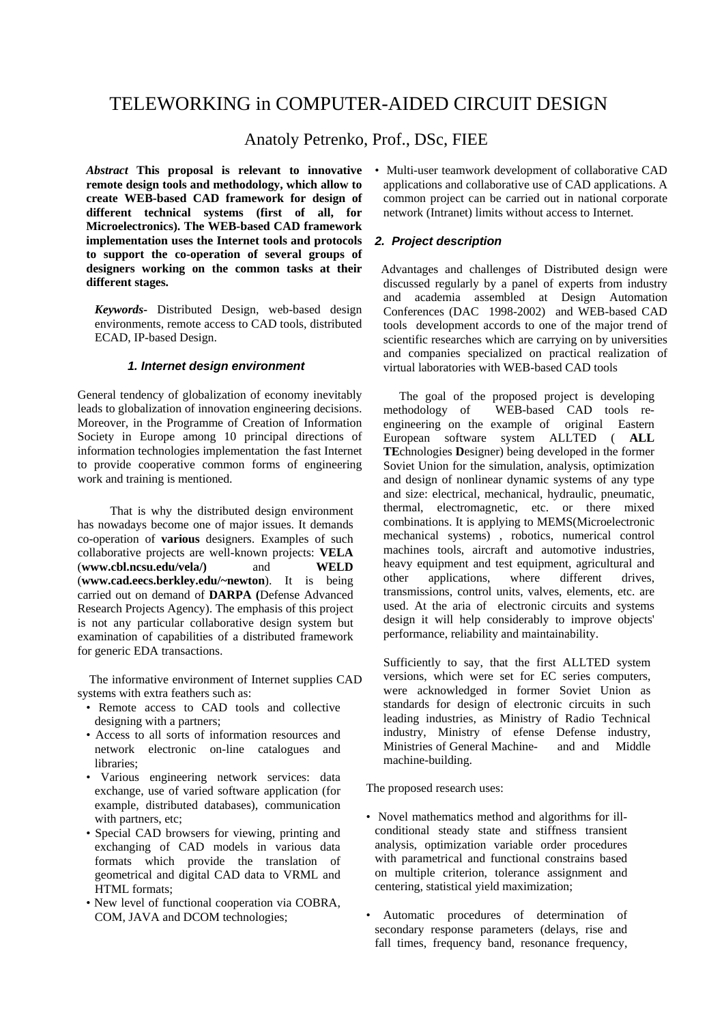# TELEWORKING in COMPUTER-AIDED CIRCUIT DESIGN

Anatoly Petrenko, Prof., DSc, FIEE

*Abstract* **This proposal is relevant to innovative remote design tools and methodology, which allow to create WEB-based CAD framework for design of different technical systems (first of all, for Microelectronics). The WEB-based CAD framework implementation uses the Internet tools and protocols to support the co-operation of several groups of designers working on the common tasks at their different stages.** 

*Keywords-* Distributed Design, web-based design environments, remote access to CAD tools, distributed ECAD, IP-based Design.

#### *1. Internet design environment*

General tendency of globalization of economy inevitably leads to globalization of innovation engineering decisions. Moreover, in the Programme of Creation of Information Society in Europe among 10 principal directions of information technologies implementation the fast Internet to provide cooperative common forms of engineering work and training is mentioned.

 That is why the distributed design environment has nowadays become one of major issues. It demands co-operation of **various** designers. Examples of such collaborative projects are well-known projects: **VELA**  (**www.cbl.ncsu.edu/vela/)** and **WELD** (**www.cad.eecs.berkley.edu/~newton**). It is being carried out on demand of **DARPA (**Defense Advanced Research Projects Agency). The emphasis of this project is not any particular collaborative design system but examination of capabilities of a distributed framework for generic EDA transactions.

 The informative environment of Internet supplies CAD systems with extra feathers such as:

- Remote access to CAD tools and collective designing with a partners;
- Access to all sorts of information resources and network electronic on-line catalogues and libraries;
- Various engineering network services: data exchange, use of varied software application (for example, distributed databases), communication with partners, etc;
- Special CAD browsers for viewing, printing and exchanging of CAD models in various data formats which provide the translation of geometrical and digital CAD data to VRML and HTML formats;
- New level of functional cooperation via COBRA, COM, JAVA and DCOM technologies;

• Multi-user teamwork development of collaborative CAD applications and collaborative use of CAD applications. A common project can be carried out in national corporate network (Intranet) limits without access to Internet.

### *2. Project description*

 Advantages and challenges of Distributed design were discussed regularly by a panel of experts from industry and academia assembled at Design Automation Conferences (DAC 1998-2002) and WEB-based CAD tools development accords to one of the major trend of scientific researches which are carrying on by universities and companies specialized on practical realization of virtual laboratories with WEB-based CAD tools

The goal of the proposed project is developing<br>methodology of WEB-based CAD tools re-WEB-based CAD tools reengineering on the example of original Eastern European software system ALLTED ( **ALL TE**chnologies **D**esigner) being developed in the former Soviet Union for the simulation, analysis, optimization and design of nonlinear dynamic systems of any type and size: electrical, mechanical, hydraulic, pneumatic, thermal, electromagnetic, etc. or there mixed combinations. It is applying to MEMS(Microelectronic mechanical systems) , robotics, numerical control machines tools, aircraft and automotive industries, heavy equipment and test equipment, agricultural and other applications, where different drives, transmissions, control units, valves, elements, etc. are used. At the aria of electronic circuits and systems design it will help considerably to improve objects' performance, reliability and maintainability.

Sufficiently to say, that the first ALLTED system versions, which were set for EC series computers, were acknowledged in former Soviet Union as standards for design of electronic circuits in such leading industries, as Ministry of Radio Technical industry, Ministry of efense Defense industry, Ministries of General Machine- and and Middle machine-building.

The proposed research uses:

- Novel mathematics method and algorithms for illconditional steady state and stiffness transient analysis, optimization variable order procedures with parametrical and functional constrains based on multiple criterion, tolerance assignment and centering, statistical yield maximization;
- Automatic procedures of determination of secondary response parameters (delays, rise and fall times, frequency band, resonance frequency,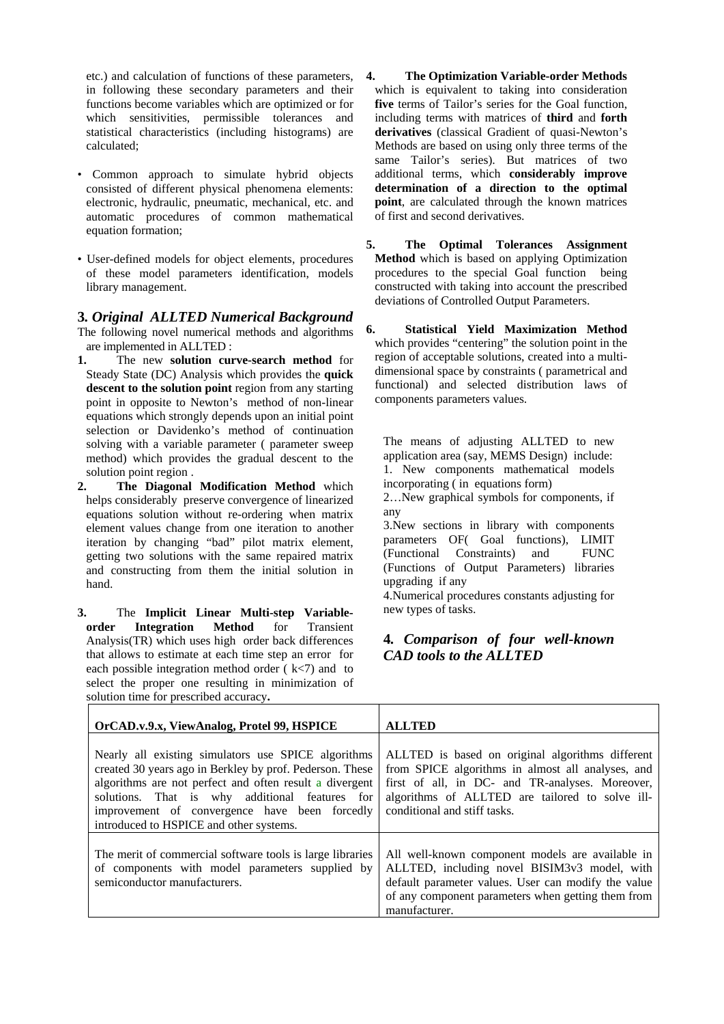etc.) and calculation of functions of these parameters, in following these secondary parameters and their functions become variables which are optimized or for which sensitivities, permissible tolerances and statistical characteristics (including histograms) are calculated;

- Common approach to simulate hybrid objects consisted of different physical phenomena elements: electronic, hydraulic, pneumatic, mechanical, etc. and automatic procedures of common mathematical equation formation;
- User-defined models for object elements, procedures of these model parameters identification, models library management.

**3***. Original ALLTED Numerical Background*  The following novel numerical methods and algorithms are implemented in ALLTED :

- **1.** The new **solution curve-search method** for Steady State (DC) Analysis which provides the **quick descent to the solution point** region from any starting point in opposite to Newton's method of non-linear equations which strongly depends upon an initial point selection or Davidenko's method of continuation solving with a variable parameter ( parameter sweep method) which provides the gradual descent to the solution point region .
- **2. The Diagonal Modification Method** which helps considerably preserve convergence of linearized equations solution without re-ordering when matrix element values change from one iteration to another iteration by changing "bad" pilot matrix element, getting two solutions with the same repaired matrix and constructing from them the initial solution in hand.
- **3.** The **Implicit Linear Multi-step Variableorder Integration Method** for Transient Analysis(TR) which uses high order back differences that allows to estimate at each time step an errorfor each possible integration method order  $(k<7)$  and to select the proper one resulting in minimization of solution time for prescribed accuracy**.**
- **4. The Optimization Variable-order Methods** which is equivalent to taking into consideration five terms of Tailor's series for the Goal function, including terms with matrices of **third** and **forth derivatives** (classical Gradient of quasi-Newton's Methods are based on using only three terms of the same Tailor's series). But matrices of two additional terms, which **considerably improve determination of a direction to the optimal point**, are calculated through the known matrices of first and second derivatives.
- **5. The Optimal Tolerances Assignment Method** which is based on applying Optimization procedures to the special Goal function being constructed with taking into account the prescribed deviations of Controlled Output Parameters.
- **6. Statistical Yield Maximization Method**  which provides "centering" the solution point in the region of acceptable solutions, created into a multidimensional space by constraints ( parametrical and functional) and selected distribution laws of components parameters values.

The means of adjusting ALLTED to new application area (say, MEMS Design) include: 1. New components mathematical models incorporating ( in equations form)

2…New graphical symbols for components, if any

3.New sections in library with components parameters OF( Goal functions), LIMIT (Functional Constraints) and FUNC (Functions of Output Parameters) libraries upgrading if any

4.Numerical procedures constants adjusting for new types of tasks.

## **4***. Comparison of four well-known CAD tools to the ALLTED*

| OrCAD.v.9.x, ViewAnalog, Protel 99, HSPICE                                                                                                                                                                                                                                                                               | <b>ALLTED</b>                                                                                                                                                                                                                               |
|--------------------------------------------------------------------------------------------------------------------------------------------------------------------------------------------------------------------------------------------------------------------------------------------------------------------------|---------------------------------------------------------------------------------------------------------------------------------------------------------------------------------------------------------------------------------------------|
| Nearly all existing simulators use SPICE algorithms<br>created 30 years ago in Berkley by prof. Pederson. These<br>algorithms are not perfect and often result a divergent<br>solutions. That is why additional features for<br>improvement of convergence have been forcedly<br>introduced to HSPICE and other systems. | ALLTED is based on original algorithms different<br>from SPICE algorithms in almost all analyses, and<br>first of all, in DC- and TR-analyses. Moreover,<br>algorithms of ALLTED are tailored to solve ill-<br>conditional and stiff tasks. |
| The merit of commercial software tools is large libraries<br>of components with model parameters supplied by<br>semiconductor manufacturers.                                                                                                                                                                             | All well-known component models are available in<br>ALLTED, including novel BISIM3v3 model, with<br>default parameter values. User can modify the value<br>of any component parameters when getting them from<br>manufacturer.              |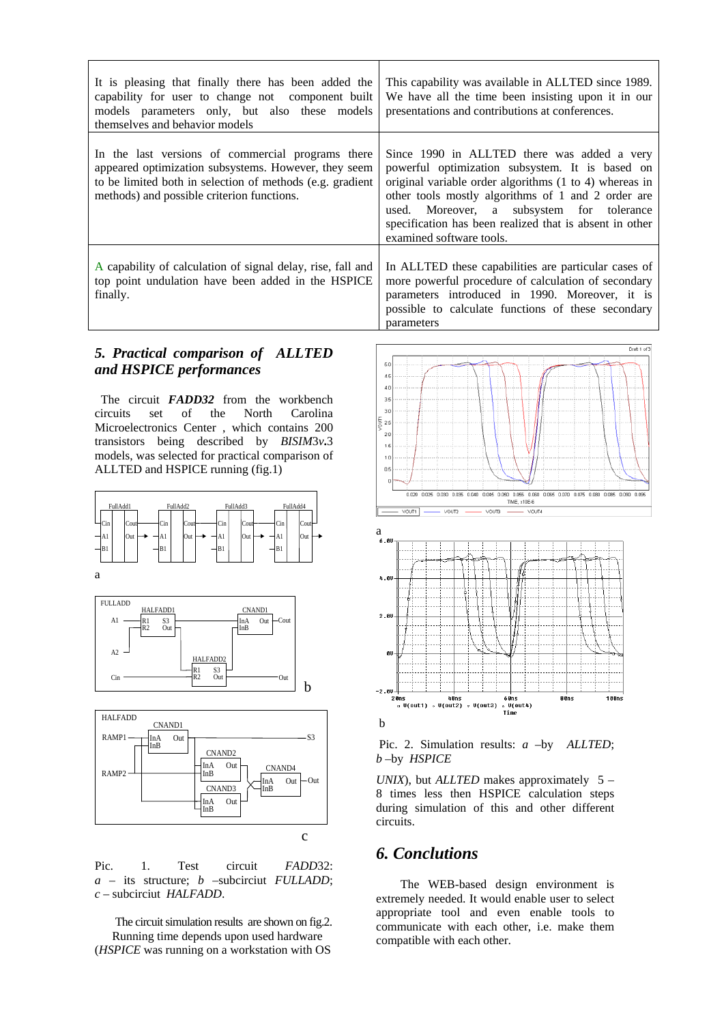| It is pleasing that finally there has been added the<br>capability for user to change not component built<br>models parameters only, but also these models<br>themselves and behavior models                         | This capability was available in ALLTED since 1989.<br>We have all the time been insisting upon it in our<br>presentations and contributions at conferences.                                                                                                                                                                                       |
|----------------------------------------------------------------------------------------------------------------------------------------------------------------------------------------------------------------------|----------------------------------------------------------------------------------------------------------------------------------------------------------------------------------------------------------------------------------------------------------------------------------------------------------------------------------------------------|
| In the last versions of commercial programs there<br>appeared optimization subsystems. However, they seem<br>to be limited both in selection of methods (e.g. gradient<br>methods) and possible criterion functions. | Since 1990 in ALLTED there was added a very<br>powerful optimization subsystem. It is based on<br>original variable order algorithms (1 to 4) whereas in<br>other tools mostly algorithms of 1 and 2 order are<br>used. Moreover, a subsystem for tolerance<br>specification has been realized that is absent in other<br>examined software tools. |
| A capability of calculation of signal delay, rise, fall and<br>top point undulation have been added in the HSPICE<br>finally.                                                                                        | In ALLTED these capabilities are particular cases of<br>more powerful procedure of calculation of secondary<br>parameters introduced in 1990. Moreover, it is<br>possible to calculate functions of these secondary<br>parameters                                                                                                                  |

### *5. Practical comparison of ALLTED and HSPICE performances*

 The circuit *FADD32* from the workbench circuits set of the North Carolina Microelectronics Center , which contains 200 transistors being described by *BISIM*3*v***.**3 models, was selected for practical comparison of ALLTED and HSPICE running (fig.1)







Pic. 1. Test circuit *FADD*32: *a* – its structure; *b* –subcirciut *FULLADD*; *c* – subcirciut *HALFADD*.

 The circuit simulation results are shown on fig.2. Running time depends upon used hardware (*HSPICE* was running on a workstation with OS



 Pic. 2. Simulation results: *a* –by *ALLTED*; *b* –by *HSPICE*

*UNIX*), but *ALLTED* makes approximately 5 – 8 times less then HSPICE calculation steps during simulation of this and other different circuits.

# *6. Conclutions*

 The WEB-based design environment is extremely needed. It would enable user to select appropriate tool and even enable tools to communicate with each other, i.e. make them compatible with each other.